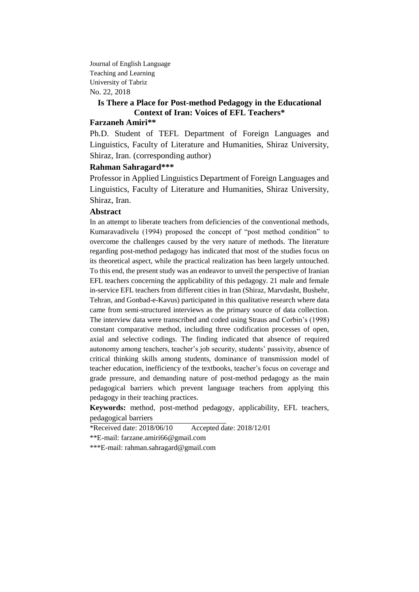Journal of English Language Teaching and Learning University of Tabriz No. 22, 2018

## **Is There a Place for Post-method Pedagogy in the Educational Context of Iran: Voices of EFL Teachers\***

## **Farzaneh Amiri\*\***

Ph.D. Student of TEFL Department of Foreign Languages and Linguistics, Faculty of Literature and Humanities, Shiraz University, Shiraz, Iran. (corresponding author)

### **Rahman Sahragard\*\*\***

Professor in Applied Linguistics Department of Foreign Languages and Linguistics, Faculty of Literature and Humanities, Shiraz University, Shiraz, Iran.

## **Abstract**

In an attempt to liberate teachers from deficiencies of the conventional methods, Kumaravadivelu (1994) proposed the concept of "post method condition" to overcome the challenges caused by the very nature of methods. The literature regarding post-method pedagogy has indicated that most of the studies focus on its theoretical aspect, while the practical realization has been largely untouched. To this end, the present study was an endeavor to unveil the perspective of Iranian EFL teachers concerning the applicability of this pedagogy. 21 male and female in-service EFL teachers from different cities in Iran (Shiraz, Marvdasht, Bushehr, Tehran, and Gonbad-e-Kavus) participated in this qualitative research where data came from semi-structured interviews as the primary source of data collection. The interview data were transcribed and coded using Straus and Corbin's (1998) constant comparative method, including three codification processes of open, axial and selective codings. The finding indicated that absence of required autonomy among teachers, teacher's job security, students' passivity, absence of critical thinking skills among students, dominance of transmission model of teacher education, inefficiency of the textbooks, teacher's focus on coverage and grade pressure, and demanding nature of post-method pedagogy as the main pedagogical barriers which prevent language teachers from applying this pedagogy in their teaching practices.

**Keywords:** method, post-method pedagogy, applicability, EFL teachers, pedagogical barriers

\*Received date: 2018/06/10 Accepted date: 2018/12/01

\*\*E-mail: [farzane.amiri66@gmail.com](mailto:farzane.amiri66@gmail.com)

\*\*\*E-mail: [rahman.sahragard@gmail.com](mailto:rahman.sahragard@gmail.com)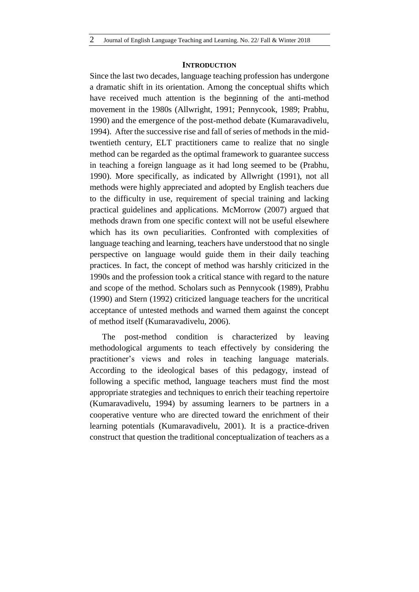### **INTRODUCTION**

Since the last two decades, language teaching profession has undergone a dramatic shift in its orientation. Among the conceptual shifts which have received much attention is the beginning of the anti-method movement in the 1980s (Allwright, 1991; Pennycook, 1989; Prabhu, 1990) and the emergence of the post-method debate (Kumaravadivelu, 1994). After the successive rise and fall of series of methods in the midtwentieth century, ELT practitioners came to realize that no single method can be regarded as the optimal framework to guarantee success in teaching a foreign language as it had long seemed to be (Prabhu, 1990). More specifically, as indicated by Allwright (1991), not all methods were highly appreciated and adopted by English teachers due to the difficulty in use, requirement of special training and lacking practical guidelines and applications. McMorrow (2007) argued that methods drawn from one specific context will not be useful elsewhere which has its own peculiarities. Confronted with complexities of language teaching and learning, teachers have understood that no single perspective on language would guide them in their daily teaching practices. In fact, the concept of method was harshly criticized in the 1990s and the profession took a critical stance with regard to the nature and scope of the method. Scholars such as Pennycook (1989), Prabhu (1990) and Stern (1992) criticized language teachers for the uncritical acceptance of untested methods and warned them against the concept of method itself (Kumaravadivelu, 2006).

The post-method condition is characterized by leaving methodological arguments to teach effectively by considering the practitioner's views and roles in teaching language materials. According to the ideological bases of this pedagogy, instead of following a specific method, language teachers must find the most appropriate strategies and techniques to enrich their teaching repertoire (Kumaravadivelu, 1994) by assuming learners to be partners in a cooperative venture who are directed toward the enrichment of their learning potentials (Kumaravadivelu, 2001). It is a practice-driven construct that question the traditional conceptualization of teachers as a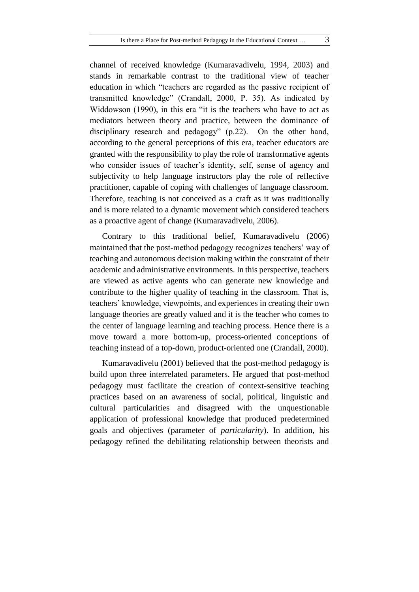channel of received knowledge (Kumaravadivelu, 1994, 2003) and stands in remarkable contrast to the traditional view of teacher education in which "teachers are regarded as the passive recipient of transmitted knowledge" (Crandall, 2000, P. 35). As indicated by Widdowson (1990), in this era "it is the teachers who have to act as mediators between theory and practice, between the dominance of disciplinary research and pedagogy" (p.22). On the other hand, according to the general perceptions of this era, teacher educators are granted with the responsibility to play the role of transformative agents who consider issues of teacher's identity, self, sense of agency and subjectivity to help language instructors play the role of reflective practitioner, capable of coping with challenges of language classroom. Therefore, teaching is not conceived as a craft as it was traditionally and is more related to a dynamic movement which considered teachers as a proactive agent of change (Kumaravadivelu, 2006).

Contrary to this traditional belief, Kumaravadivelu (2006) maintained that the post-method pedagogy recognizes teachers' way of teaching and autonomous decision making within the constraint of their academic and administrative environments. In this perspective, teachers are viewed as active agents who can generate new knowledge and contribute to the higher quality of teaching in the classroom. That is, teachers' knowledge, viewpoints, and experiences in creating their own language theories are greatly valued and it is the teacher who comes to the center of language learning and teaching process. Hence there is a move toward a more bottom-up, process-oriented conceptions of teaching instead of a top-down, product-oriented one (Crandall, 2000).

Kumaravadivelu (2001) believed that the post-method pedagogy is build upon three interrelated parameters. He argued that post-method pedagogy must facilitate the creation of context-sensitive teaching practices based on an awareness of social, political, linguistic and cultural particularities and disagreed with the unquestionable application of professional knowledge that produced predetermined goals and objectives (parameter of *particularity*). In addition, his pedagogy refined the debilitating relationship between theorists and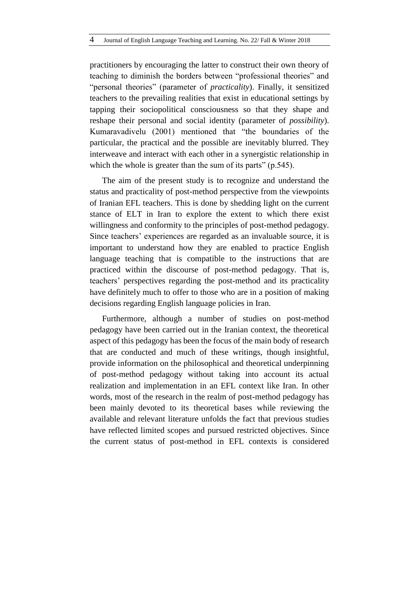practitioners by encouraging the latter to construct their own theory of teaching to diminish the borders between "professional theories" and "personal theories" (parameter of *practicality*). Finally, it sensitized teachers to the prevailing realities that exist in educational settings by tapping their sociopolitical consciousness so that they shape and reshape their personal and social identity (parameter of *possibility*). Kumaravadivelu (2001) mentioned that "the boundaries of the particular, the practical and the possible are inevitably blurred. They interweave and interact with each other in a synergistic relationship in which the whole is greater than the sum of its parts" (p.545).

The aim of the present study is to recognize and understand the status and practicality of post-method perspective from the viewpoints of Iranian EFL teachers. This is done by shedding light on the current stance of ELT in Iran to explore the extent to which there exist willingness and conformity to the principles of post-method pedagogy. Since teachers' experiences are regarded as an invaluable source, it is important to understand how they are enabled to practice English language teaching that is compatible to the instructions that are practiced within the discourse of post-method pedagogy. That is, teachers' perspectives regarding the post-method and its practicality have definitely much to offer to those who are in a position of making decisions regarding English language policies in Iran.

Furthermore, although a number of studies on post-method pedagogy have been carried out in the Iranian context, the theoretical aspect of this pedagogy has been the focus of the main body of research that are conducted and much of these writings, though insightful, provide information on the philosophical and theoretical underpinning of post-method pedagogy without taking into account its actual realization and implementation in an EFL context like Iran. In other words, most of the research in the realm of post-method pedagogy has been mainly devoted to its theoretical bases while reviewing the available and relevant literature unfolds the fact that previous studies have reflected limited scopes and pursued restricted objectives. Since the current status of post-method in EFL contexts is considered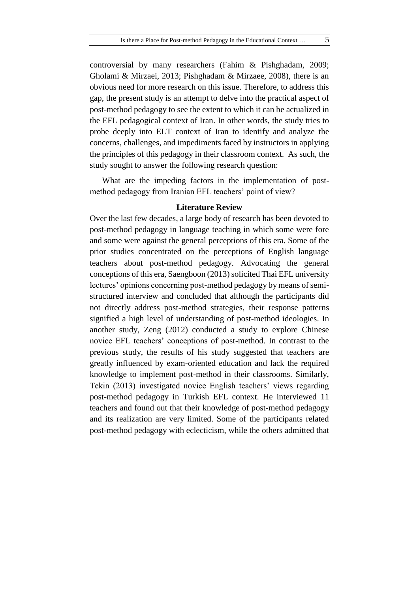controversial by many researchers (Fahim & Pishghadam, 2009; Gholami & Mirzaei, 2013; Pishghadam & Mirzaee, 2008), there is an obvious need for more research on this issue. Therefore, to address this gap, the present study is an attempt to delve into the practical aspect of post-method pedagogy to see the extent to which it can be actualized in the EFL pedagogical context of Iran. In other words, the study tries to probe deeply into ELT context of Iran to identify and analyze the concerns, challenges, and impediments faced by instructors in applying the principles of this pedagogy in their classroom context. As such, the study sought to answer the following research question:

What are the impeding factors in the implementation of postmethod pedagogy from Iranian EFL teachers' point of view?

#### **Literature Review**

Over the last few decades, a large body of research has been devoted to post-method pedagogy in language teaching in which some were fore and some were against the general perceptions of this era. Some of the prior studies concentrated on the perceptions of English language teachers about post-method pedagogy. Advocating the general conceptions of this era, Saengboon (2013) solicited Thai EFL university lectures' opinions concerning post-method pedagogy by means of semistructured interview and concluded that although the participants did not directly address post-method strategies, their response patterns signified a high level of understanding of post-method ideologies. In another study, Zeng (2012) conducted a study to explore Chinese novice EFL teachers' conceptions of post-method. In contrast to the previous study, the results of his study suggested that teachers are greatly influenced by exam-oriented education and lack the required knowledge to implement post-method in their classrooms. Similarly, Tekin (2013) investigated novice English teachers' views regarding post-method pedagogy in Turkish EFL context. He interviewed 11 teachers and found out that their knowledge of post-method pedagogy and its realization are very limited. Some of the participants related post-method pedagogy with eclecticism, while the others admitted that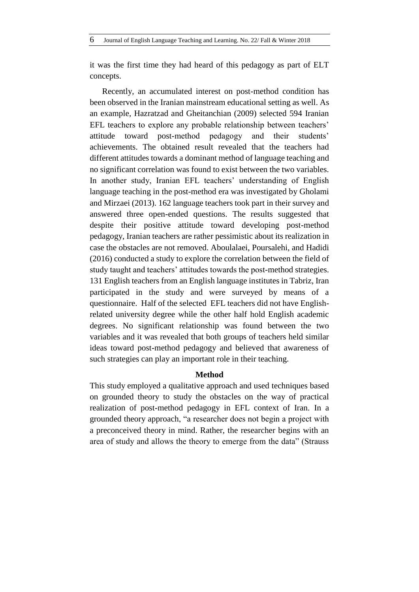it was the first time they had heard of this pedagogy as part of ELT concepts.

Recently, an accumulated interest on post-method condition has been observed in the Iranian mainstream educational setting as well. As an example, Hazratzad and Gheitanchian (2009) selected 594 Iranian EFL teachers to explore any probable relationship between teachers' attitude toward post-method pedagogy and their students' achievements. The obtained result revealed that the teachers had different attitudes towards a dominant method of language teaching and no significant correlation was found to exist between the two variables. In another study, Iranian EFL teachers' understanding of English language teaching in the post-method era was investigated by Gholami and Mirzaei (2013). 162 language teachers took part in their survey and answered three open-ended questions. The results suggested that despite their positive attitude toward developing post-method pedagogy, Iranian teachers are rather pessimistic about its realization in case the obstacles are not removed. Aboulalaei, Poursalehi, and Hadidi (2016) conducted a study to explore the correlation between the field of study taught and teachers' attitudes towards the post-method strategies. 131 English teachers from an English language institutes in Tabriz, Iran participated in the study and were surveyed by means of a questionnaire. Half of the selected EFL teachers did not have Englishrelated university degree while the other half hold English academic degrees. No significant relationship was found between the two variables and it was revealed that both groups of teachers held similar ideas toward post-method pedagogy and believed that awareness of such strategies can play an important role in their teaching.

### **Method**

This study employed a qualitative approach and used techniques based on grounded theory to study the obstacles on the way of practical realization of post-method pedagogy in EFL context of Iran. In a grounded theory approach, "a researcher does not begin a project with a preconceived theory in mind. Rather, the researcher begins with an area of study and allows the theory to emerge from the data" (Strauss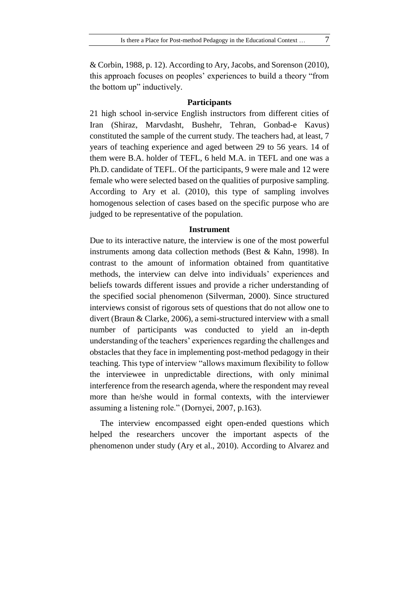& Corbin, 1988, p. 12). According to Ary, Jacobs, and Sorenson (2010), this approach focuses on peoples' experiences to build a theory "from the bottom up" inductively.

#### **Participants**

21 high school in-service English instructors from different cities of Iran (Shiraz, Marvdasht, Bushehr, Tehran, Gonbad-e Kavus) constituted the sample of the current study. The teachers had, at least, 7 years of teaching experience and aged between 29 to 56 years. 14 of them were B.A. holder of TEFL, 6 held M.A. in TEFL and one was a Ph.D. candidate of TEFL. Of the participants, 9 were male and 12 were female who were selected based on the qualities of purposive sampling. According to Ary et al. (2010), this type of sampling involves homogenous selection of cases based on the specific purpose who are judged to be representative of the population.

### **Instrument**

Due to its interactive nature, the interview is one of the most powerful instruments among data collection methods (Best & Kahn, 1998). In contrast to the amount of information obtained from quantitative methods, the interview can delve into individuals' experiences and beliefs towards different issues and provide a richer understanding of the specified social phenomenon (Silverman, 2000). Since structured interviews consist of rigorous sets of questions that do not allow one to divert (Braun & Clarke, 2006), a semi-structured interview with a small number of participants was conducted to yield an in-depth understanding of the teachers' experiences regarding the challenges and obstacles that they face in implementing post-method pedagogy in their teaching. This type of interview "allows maximum flexibility to follow the interviewee in unpredictable directions, with only minimal interference from the research agenda, where the respondent may reveal more than he/she would in formal contexts, with the interviewer assuming a listening role." (Dornyei, 2007, p.163).

 The interview encompassed eight open-ended questions which helped the researchers uncover the important aspects of the phenomenon under study (Ary et al., 2010). According to Alvarez and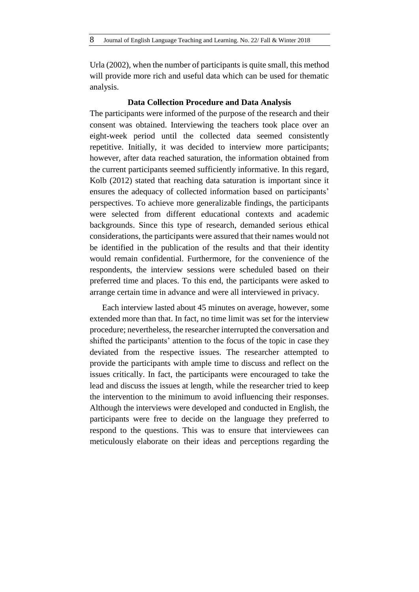Urla (2002), when the number of participants is quite small, this method will provide more rich and useful data which can be used for thematic analysis.

### **Data Collection Procedure and Data Analysis**

The participants were informed of the purpose of the research and their consent was obtained. Interviewing the teachers took place over an eight-week period until the collected data seemed consistently repetitive. Initially, it was decided to interview more participants; however, after data reached saturation, the information obtained from the current participants seemed sufficiently informative. In this regard, Kolb (2012) stated that reaching data saturation is important since it ensures the adequacy of collected information based on participants' perspectives. To achieve more generalizable findings, the participants were selected from different educational contexts and academic backgrounds. Since this type of research, demanded serious ethical considerations, the participants were assured that their names would not be identified in the publication of the results and that their identity would remain confidential. Furthermore, for the convenience of the respondents, the interview sessions were scheduled based on their preferred time and places. To this end, the participants were asked to arrange certain time in advance and were all interviewed in privacy.

Each interview lasted about 45 minutes on average, however, some extended more than that. In fact, no time limit was set for the interview procedure; nevertheless, the researcher interrupted the conversation and shifted the participants' attention to the focus of the topic in case they deviated from the respective issues. The researcher attempted to provide the participants with ample time to discuss and reflect on the issues critically. In fact, the participants were encouraged to take the lead and discuss the issues at length, while the researcher tried to keep the intervention to the minimum to avoid influencing their responses. Although the interviews were developed and conducted in English, the participants were free to decide on the language they preferred to respond to the questions. This was to ensure that interviewees can meticulously elaborate on their ideas and perceptions regarding the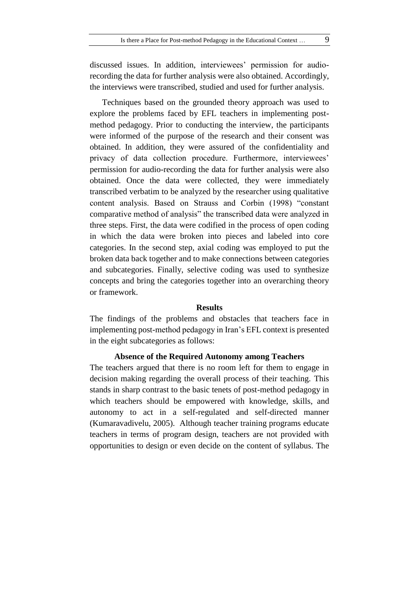discussed issues. In addition, interviewees' permission for audiorecording the data for further analysis were also obtained. Accordingly, the interviews were transcribed, studied and used for further analysis.

Techniques based on the grounded theory approach was used to explore the problems faced by EFL teachers in implementing postmethod pedagogy. Prior to conducting the interview, the participants were informed of the purpose of the research and their consent was obtained. In addition, they were assured of the confidentiality and privacy of data collection procedure. Furthermore, interviewees' permission for audio-recording the data for further analysis were also obtained. Once the data were collected, they were immediately transcribed verbatim to be analyzed by the researcher using qualitative content analysis. Based on Strauss and Corbin (1998) "constant comparative method of analysis" the transcribed data were analyzed in three steps. First, the data were codified in the process of open coding in which the data were broken into pieces and labeled into core categories. In the second step, axial coding was employed to put the broken data back together and to make connections between categories and subcategories. Finally, selective coding was used to synthesize concepts and bring the categories together into an overarching theory or framework.

#### **Results**

The findings of the problems and obstacles that teachers face in implementing post-method pedagogy in Iran's EFL context is presented in the eight subcategories as follows:

#### **Absence of the Required Autonomy among Teachers**

The teachers argued that there is no room left for them to engage in decision making regarding the overall process of their teaching. This stands in sharp contrast to the basic tenets of post-method pedagogy in which teachers should be empowered with knowledge, skills, and autonomy to act in a self-regulated and self-directed manner (Kumaravadivelu, 2005). Although teacher training programs educate teachers in terms of program design, teachers are not provided with opportunities to design or even decide on the content of syllabus. The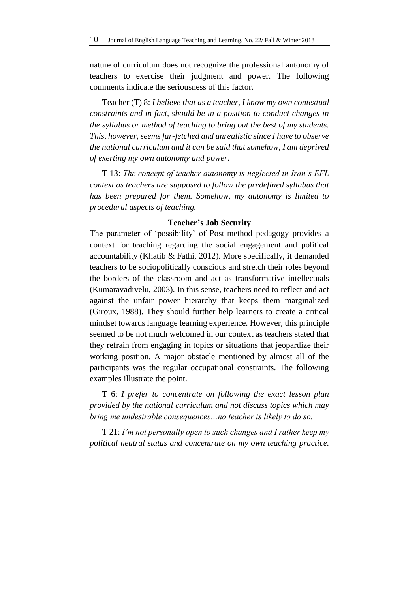nature of curriculum does not recognize the professional autonomy of teachers to exercise their judgment and power. The following comments indicate the seriousness of this factor.

Teacher (T) 8: *I believe that as a teacher, I know my own contextual constraints and in fact, should be in a position to conduct changes in the syllabus or method of teaching to bring out the best of my students. This, however, seems far-fetched and unrealistic since I have to observe the national curriculum and it can be said that somehow, I am deprived of exerting my own autonomy and power.* 

T 13: *The concept of teacher autonomy is neglected in Iran's EFL context as teachers are supposed to follow the predefined syllabus that has been prepared for them. Somehow, my autonomy is limited to procedural aspects of teaching.* 

### **Teacher's Job Security**

The parameter of 'possibility' of Post-method pedagogy provides a context for teaching regarding the social engagement and political accountability (Khatib & Fathi, 2012). More specifically, it demanded teachers to be sociopolitically conscious and stretch their roles beyond the borders of the classroom and act as transformative intellectuals (Kumaravadivelu, 2003). In this sense, teachers need to reflect and act against the unfair power hierarchy that keeps them marginalized (Giroux, 1988). They should further help learners to create a critical mindset towards language learning experience. However, this principle seemed to be not much welcomed in our context as teachers stated that they refrain from engaging in topics or situations that jeopardize their working position. A major obstacle mentioned by almost all of the participants was the regular occupational constraints. The following examples illustrate the point.

T 6: *I prefer to concentrate on following the exact lesson plan provided by the national curriculum and not discuss topics which may bring me undesirable consequences…no teacher is likely to do so.* 

T 21: *I'm not personally open to such changes and I rather keep my political neutral status and concentrate on my own teaching practice.*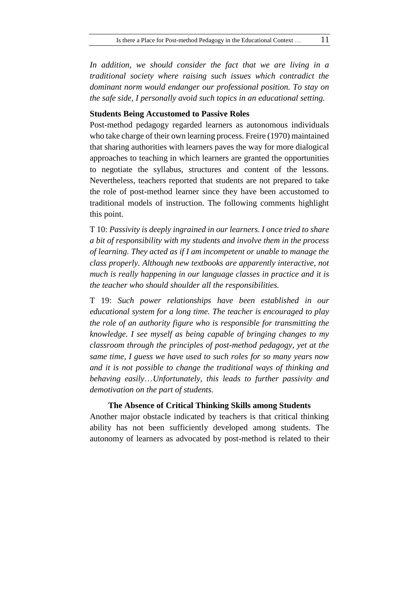*In addition, we should consider the fact that we are living in a traditional society where raising such issues which contradict the dominant norm would endanger our professional position. To stay on the safe side, I personally avoid such topics in an educational setting.* 

### **Students Being Accustomed to Passive Roles**

Post-method pedagogy regarded learners as autonomous individuals who take charge of their own learning process. Freire (1970) maintained that sharing authorities with learners paves the way for more dialogical approaches to teaching in which learners are granted the opportunities to negotiate the syllabus, structures and content of the lessons. Nevertheless, teachers reported that students are not prepared to take the role of post-method learner since they have been accustomed to traditional models of instruction. The following comments highlight this point.

T 10: *Passivity is deeply ingrained in our learners. I once tried to share a bit of responsibility with my students and involve them in the process of learning. They acted as if I am incompetent or unable to manage the class properly. Although new textbooks are apparently interactive, not much is really happening in our language classes in practice and it is the teacher who should shoulder all the responsibilities.* 

T 19: *Such power relationships have been established in our educational system for a long time. The teacher is encouraged to play the role of an authority figure who is responsible for transmitting the knowledge. I see myself as being capable of bringing changes to my classroom through the principles of post-method pedagogy, yet at the same time, I guess we have used to such roles for so many years now and it is not possible to change the traditional ways of thinking and behaving easily*…*Unfortunately, this leads to further passivity and demotivation on the part of students.*

## **The Absence of Critical Thinking Skills among Students**

Another major obstacle indicated by teachers is that critical thinking ability has not been sufficiently developed among students. The autonomy of learners as advocated by post-method is related to their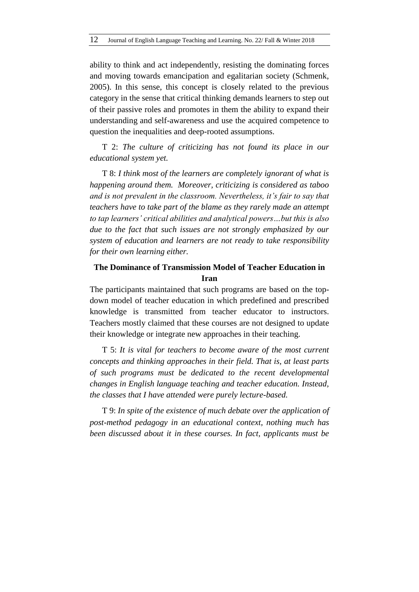ability to think and act independently, resisting the dominating forces and moving towards emancipation and egalitarian society (Schmenk, 2005). In this sense, this concept is closely related to the previous category in the sense that critical thinking demands learners to step out of their passive roles and promotes in them the ability to expand their understanding and self-awareness and use the acquired competence to question the inequalities and deep-rooted assumptions.

T 2: *The culture of criticizing has not found its place in our educational system yet.*

T 8: *I think most of the learners are completely ignorant of what is happening around them. Moreover, criticizing is considered as taboo and is not prevalent in the classroom. Nevertheless, it's fair to say that teachers have to take part of the blame as they rarely made an attempt to tap learners' critical abilities and analytical powers…but this is also due to the fact that such issues are not strongly emphasized by our system of education and learners are not ready to take responsibility for their own learning either.* 

# **The Dominance of Transmission Model of Teacher Education in Iran**

The participants maintained that such programs are based on the topdown model of teacher education in which predefined and prescribed knowledge is transmitted from teacher educator to instructors. Teachers mostly claimed that these courses are not designed to update their knowledge or integrate new approaches in their teaching.

T 5: *It is vital for teachers to become aware of the most current concepts and thinking approaches in their field. That is, at least parts of such programs must be dedicated to the recent developmental changes in English language teaching and teacher education. Instead, the classes that I have attended were purely lecture-based.*

T 9: *In spite of the existence of much debate over the application of post-method pedagogy in an educational context, nothing much has been discussed about it in these courses. In fact, applicants must be*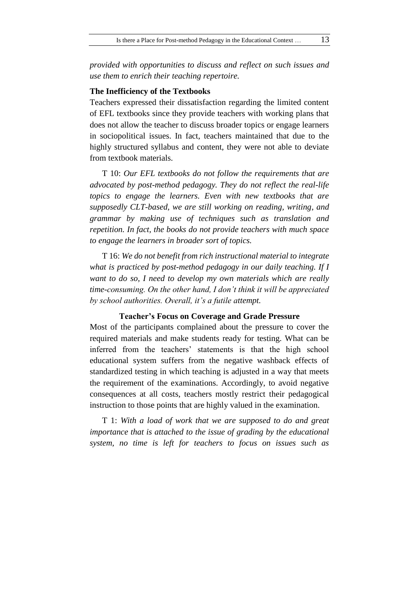*provided with opportunities to discuss and reflect on such issues and use them to enrich their teaching repertoire.* 

## **The Inefficiency of the Textbooks**

Teachers expressed their dissatisfaction regarding the limited content of EFL textbooks since they provide teachers with working plans that does not allow the teacher to discuss broader topics or engage learners in sociopolitical issues. In fact, teachers maintained that due to the highly structured syllabus and content, they were not able to deviate from textbook materials.

T 10: *Our EFL textbooks do not follow the requirements that are advocated by post-method pedagogy. They do not reflect the real-life topics to engage the learners. Even with new textbooks that are supposedly CLT-based, we are still working on reading, writing, and grammar by making use of techniques such as translation and repetition. In fact, the books do not provide teachers with much space to engage the learners in broader sort of topics.*

T 16: *We do not benefit from rich instructional material to integrate what is practiced by post-method pedagogy in our daily teaching. If I want to do so, I need to develop my own materials which are really time-consuming. On the other hand, I don't think it will be appreciated by school authorities. Overall, it's a futile attempt.* 

**Teacher's Focus on Coverage and Grade Pressure**

Most of the participants complained about the pressure to cover the required materials and make students ready for testing. What can be inferred from the teachers' statements is that the high school educational system suffers from the negative washback effects of standardized testing in which teaching is adjusted in a way that meets the requirement of the examinations. Accordingly, to avoid negative consequences at all costs, teachers mostly restrict their pedagogical instruction to those points that are highly valued in the examination.

T 1: *With a load of work that we are supposed to do and great importance that is attached to the issue of grading by the educational system, no time is left for teachers to focus on issues such as*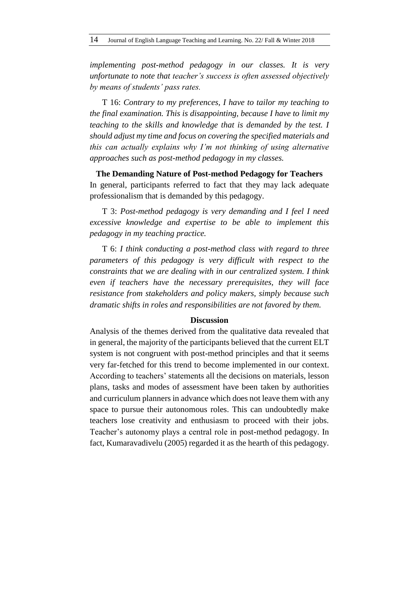*implementing post-method pedagogy in our classes. It is very unfortunate to note that teacher's success is often assessed objectively by means of students' pass rates.*

T 16: *Contrary to my preferences, I have to tailor my teaching to the final examination. This is disappointing, because I have to limit my teaching to the skills and knowledge that is demanded by the test. I should adjust my time and focus on covering the specified materials and this can actually explains why I'm not thinking of using alternative approaches such as post-method pedagogy in my classes.* 

**The Demanding Nature of Post-method Pedagogy for Teachers** In general, participants referred to fact that they may lack adequate professionalism that is demanded by this pedagogy.

T 3: *Post-method pedagogy is very demanding and I feel I need excessive knowledge and expertise to be able to implement this pedagogy in my teaching practice.*

T 6: *I think conducting a post-method class with regard to three parameters of this pedagogy is very difficult with respect to the constraints that we are dealing with in our centralized system. I think even if teachers have the necessary prerequisites, they will face resistance from stakeholders and policy makers, simply because such dramatic shifts in roles and responsibilities are not favored by them.* 

### **Discussion**

Analysis of the themes derived from the qualitative data revealed that in general, the majority of the participants believed that the current ELT system is not congruent with post-method principles and that it seems very far-fetched for this trend to become implemented in our context. According to teachers' statements all the decisions on materials, lesson plans, tasks and modes of assessment have been taken by authorities and curriculum planners in advance which does not leave them with any space to pursue their autonomous roles. This can undoubtedly make teachers lose creativity and enthusiasm to proceed with their jobs. Teacher's autonomy plays a central role in post-method pedagogy. In fact, Kumaravadivelu (2005) regarded it as the hearth of this pedagogy.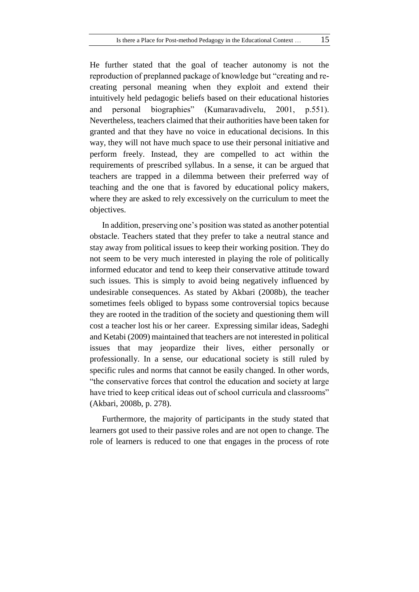He further stated that the goal of teacher autonomy is not the reproduction of preplanned package of knowledge but "creating and recreating personal meaning when they exploit and extend their intuitively held pedagogic beliefs based on their educational histories and personal biographies" (Kumaravadivelu, 2001, p.551). Nevertheless, teachers claimed that their authorities have been taken for granted and that they have no voice in educational decisions. In this way, they will not have much space to use their personal initiative and perform freely. Instead, they are compelled to act within the requirements of prescribed syllabus. In a sense, it can be argued that teachers are trapped in a dilemma between their preferred way of teaching and the one that is favored by educational policy makers, where they are asked to rely excessively on the curriculum to meet the objectives.

In addition, preserving one's position was stated as another potential obstacle. Teachers stated that they prefer to take a neutral stance and stay away from political issues to keep their working position. They do not seem to be very much interested in playing the role of politically informed educator and tend to keep their conservative attitude toward such issues. This is simply to avoid being negatively influenced by undesirable consequences. As stated by Akbari (2008b), the teacher sometimes feels obliged to bypass some controversial topics because they are rooted in the tradition of the society and questioning them will cost a teacher lost his or her career. Expressing similar ideas, Sadeghi and Ketabi (2009) maintained that teachers are not interested in political issues that may jeopardize their lives, either personally or professionally. In a sense, our educational society is still ruled by specific rules and norms that cannot be easily changed. In other words, "the conservative forces that control the education and society at large have tried to keep critical ideas out of school curricula and classrooms" (Akbari, 2008b, p. 278).

Furthermore, the majority of participants in the study stated that learners got used to their passive roles and are not open to change. The role of learners is reduced to one that engages in the process of rote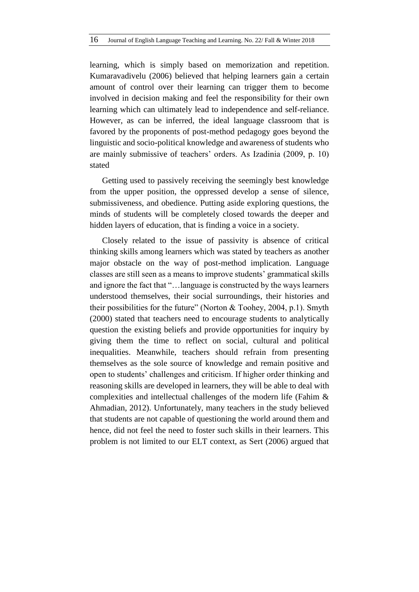learning, which is simply based on memorization and repetition. Kumaravadivelu (2006) believed that helping learners gain a certain amount of control over their learning can trigger them to become involved in decision making and feel the responsibility for their own learning which can ultimately lead to independence and self-reliance. However, as can be inferred, the ideal language classroom that is favored by the proponents of post-method pedagogy goes beyond the linguistic and socio-political knowledge and awareness of students who are mainly submissive of teachers' orders. As Izadinia (2009, p. 10) stated

Getting used to passively receiving the seemingly best knowledge from the upper position, the oppressed develop a sense of silence, submissiveness, and obedience. Putting aside exploring questions, the minds of students will be completely closed towards the deeper and hidden layers of education, that is finding a voice in a society.

Closely related to the issue of passivity is absence of critical thinking skills among learners which was stated by teachers as another major obstacle on the way of post-method implication. Language classes are still seen as a means to improve students' grammatical skills and ignore the fact that "…language is constructed by the ways learners understood themselves, their social surroundings, their histories and their possibilities for the future" (Norton & Toohey, 2004, p.1). Smyth (2000) stated that teachers need to encourage students to analytically question the existing beliefs and provide opportunities for inquiry by giving them the time to reflect on social, cultural and political inequalities. Meanwhile, teachers should refrain from presenting themselves as the sole source of knowledge and remain positive and open to students' challenges and criticism. If higher order thinking and reasoning skills are developed in learners, they will be able to deal with complexities and intellectual challenges of the modern life (Fahim & Ahmadian, 2012). Unfortunately, many teachers in the study believed that students are not capable of questioning the world around them and hence, did not feel the need to foster such skills in their learners. This problem is not limited to our ELT context, as Sert (2006) argued that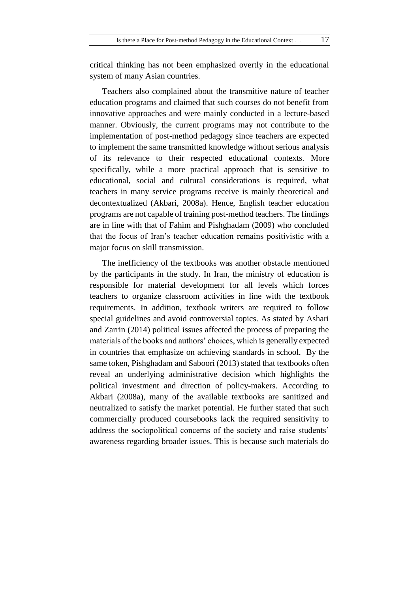critical thinking has not been emphasized overtly in the educational system of many Asian countries.

Teachers also complained about the transmitive nature of teacher education programs and claimed that such courses do not benefit from innovative approaches and were mainly conducted in a lecture-based manner. Obviously, the current programs may not contribute to the implementation of post-method pedagogy since teachers are expected to implement the same transmitted knowledge without serious analysis of its relevance to their respected educational contexts. More specifically, while a more practical approach that is sensitive to educational, social and cultural considerations is required, what teachers in many service programs receive is mainly theoretical and decontextualized (Akbari, 2008a). Hence, English teacher education programs are not capable of training post-method teachers. The findings are in line with that of Fahim and Pishghadam (2009) who concluded that the focus of Iran's teacher education remains positivistic with a major focus on skill transmission.

The inefficiency of the textbooks was another obstacle mentioned by the participants in the study. In Iran, the ministry of education is responsible for material development for all levels which forces teachers to organize classroom activities in line with the textbook requirements. In addition, textbook writers are required to follow special guidelines and avoid controversial topics. As stated by Ashari and Zarrin (2014) political issues affected the process of preparing the materials of the books and authors' choices, which is generally expected in countries that emphasize on achieving standards in school. By the same token, Pishghadam and Saboori (2013) stated that textbooks often reveal an underlying administrative decision which highlights the political investment and direction of policy-makers. According to Akbari (2008a), many of the available textbooks are sanitized and neutralized to satisfy the market potential. He further stated that such commercially produced coursebooks lack the required sensitivity to address the sociopolitical concerns of the society and raise students' awareness regarding broader issues. This is because such materials do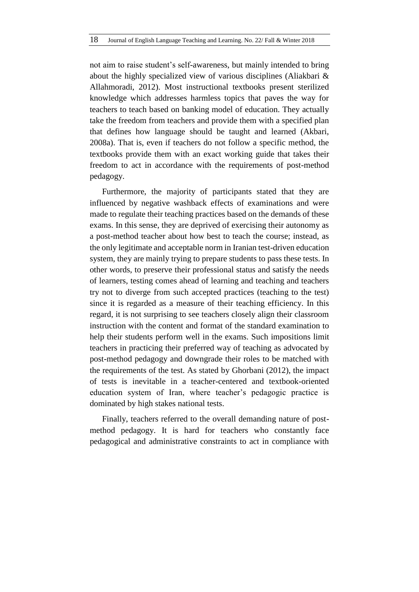not aim to raise student's self-awareness, but mainly intended to bring about the highly specialized view of various disciplines (Aliakbari & Allahmoradi, 2012). Most instructional textbooks present sterilized knowledge which addresses harmless topics that paves the way for teachers to teach based on banking model of education. They actually take the freedom from teachers and provide them with a specified plan that defines how language should be taught and learned (Akbari, 2008a). That is, even if teachers do not follow a specific method, the textbooks provide them with an exact working guide that takes their freedom to act in accordance with the requirements of post-method pedagogy.

Furthermore, the majority of participants stated that they are influenced by negative washback effects of examinations and were made to regulate their teaching practices based on the demands of these exams. In this sense, they are deprived of exercising their autonomy as a post-method teacher about how best to teach the course; instead, as the only legitimate and acceptable norm in Iranian test-driven education system, they are mainly trying to prepare students to pass these tests. In other words, to preserve their professional status and satisfy the needs of learners, testing comes ahead of learning and teaching and teachers try not to diverge from such accepted practices (teaching to the test) since it is regarded as a measure of their teaching efficiency. In this regard, it is not surprising to see teachers closely align their classroom instruction with the content and format of the standard examination to help their students perform well in the exams. Such impositions limit teachers in practicing their preferred way of teaching as advocated by post-method pedagogy and downgrade their roles to be matched with the requirements of the test. As stated by Ghorbani (2012), the impact of tests is inevitable in a teacher-centered and textbook-oriented education system of Iran, where teacher's pedagogic practice is dominated by high stakes national tests.

Finally, teachers referred to the overall demanding nature of postmethod pedagogy. It is hard for teachers who constantly face pedagogical and administrative constraints to act in compliance with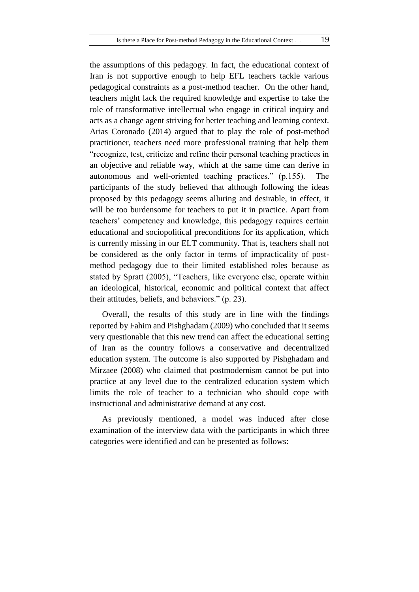the assumptions of this pedagogy. In fact, the educational context of Iran is not supportive enough to help EFL teachers tackle various pedagogical constraints as a post-method teacher. On the other hand, teachers might lack the required knowledge and expertise to take the role of transformative intellectual who engage in critical inquiry and acts as a change agent striving for better teaching and learning context. Arias Coronado (2014) argued that to play the role of post-method practitioner, teachers need more professional training that help them "recognize, test, criticize and refine their personal teaching practices in an objective and reliable way, which at the same time can derive in autonomous and well-oriented teaching practices." (p.155). The participants of the study believed that although following the ideas proposed by this pedagogy seems alluring and desirable, in effect, it will be too burdensome for teachers to put it in practice. Apart from teachers' competency and knowledge, this pedagogy requires certain educational and sociopolitical preconditions for its application, which is currently missing in our ELT community. That is, teachers shall not be considered as the only factor in terms of impracticality of postmethod pedagogy due to their limited established roles because as stated by Spratt (2005), "Teachers, like everyone else, operate within an ideological, historical, economic and political context that affect their attitudes, beliefs, and behaviors." (p. 23).

Overall, the results of this study are in line with the findings reported by Fahim and Pishghadam (2009) who concluded that it seems very questionable that this new trend can affect the educational setting of Iran as the country follows a conservative and decentralized education system. The outcome is also supported by Pishghadam and Mirzaee (2008) who claimed that postmodernism cannot be put into practice at any level due to the centralized education system which limits the role of teacher to a technician who should cope with instructional and administrative demand at any cost.

As previously mentioned, a model was induced after close examination of the interview data with the participants in which three categories were identified and can be presented as follows: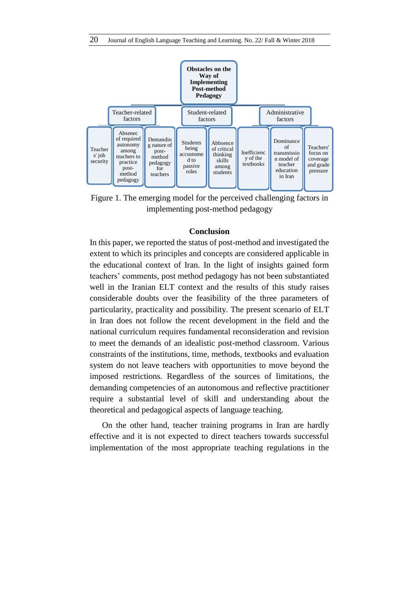

Figure 1. The emerging model for the perceived challenging factors in implementing post-method pedagogy

#### **Conclusion**

In this paper, we reported the status of post-method and investigated the extent to which its principles and concepts are considered applicable in the educational context of Iran. In the light of insights gained form teachers' comments, post method pedagogy has not been substantiated well in the Iranian ELT context and the results of this study raises considerable doubts over the feasibility of the three parameters of particularity, practicality and possibility. The present scenario of ELT in Iran does not follow the recent development in the field and the national curriculum requires fundamental reconsideration and revision to meet the demands of an idealistic post-method classroom. Various constraints of the institutions, time, methods, textbooks and evaluation system do not leave teachers with opportunities to move beyond the imposed restrictions. Regardless of the sources of limitations, the demanding competencies of an autonomous and reflective practitioner require a substantial level of skill and understanding about the theoretical and pedagogical aspects of language teaching.

On the other hand, teacher training programs in Iran are hardly effective and it is not expected to direct teachers towards successful implementation of the most appropriate teaching regulations in the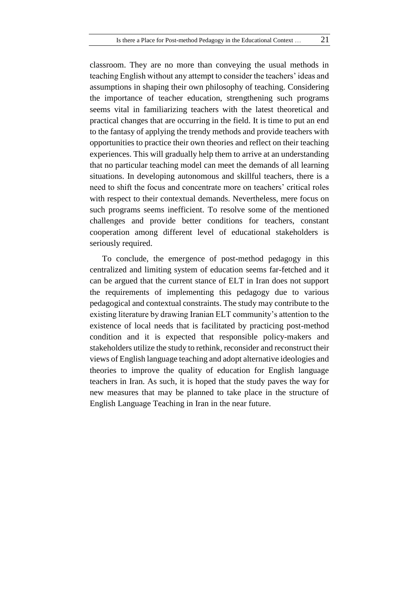classroom. They are no more than conveying the usual methods in teaching English without any attempt to consider the teachers' ideas and assumptions in shaping their own philosophy of teaching. Considering the importance of teacher education, strengthening such programs seems vital in familiarizing teachers with the latest theoretical and practical changes that are occurring in the field. It is time to put an end to the fantasy of applying the trendy methods and provide teachers with opportunities to practice their own theories and reflect on their teaching experiences. This will gradually help them to arrive at an understanding that no particular teaching model can meet the demands of all learning situations. In developing autonomous and skillful teachers, there is a need to shift the focus and concentrate more on teachers' critical roles with respect to their contextual demands. Nevertheless, mere focus on such programs seems inefficient. To resolve some of the mentioned challenges and provide better conditions for teachers, constant cooperation among different level of educational stakeholders is seriously required.

To conclude, the emergence of post-method pedagogy in this centralized and limiting system of education seems far-fetched and it can be argued that the current stance of ELT in Iran does not support the requirements of implementing this pedagogy due to various pedagogical and contextual constraints. The study may contribute to the existing literature by drawing Iranian ELT community's attention to the existence of local needs that is facilitated by practicing post-method condition and it is expected that responsible policy-makers and stakeholders utilize the study to rethink, reconsider and reconstruct their views of English language teaching and adopt alternative ideologies and theories to improve the quality of education for English language teachers in Iran. As such, it is hoped that the study paves the way for new measures that may be planned to take place in the structure of English Language Teaching in Iran in the near future.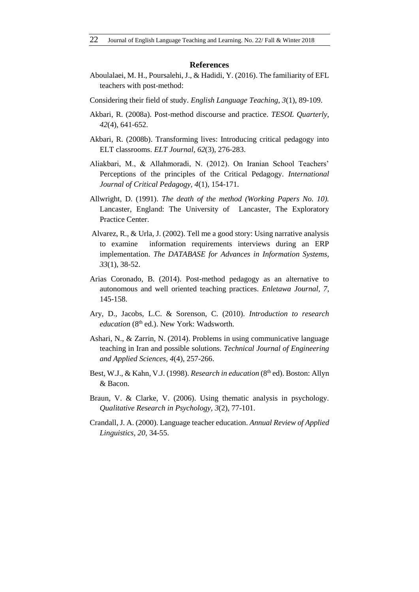#### **References**

- Aboulalaei, M. H., Poursalehi, J., & Hadidi, Y. (2016). The familiarity of EFL teachers with post-method:
- Considering their field of study. *English Language Teaching, 3*(1), 89-109.
- Akbari, R. (2008a). Post-method discourse and practice. *TESOL Quarterly, 42*(4), 641-652.
- Akbari, R. (2008b). Transforming lives: Introducing critical pedagogy into ELT classrooms. *ELT Journal, 62*(3), 276-283.
- Aliakbari, M., & Allahmoradi, N. (2012). On Iranian School Teachers' Perceptions of the principles of the Critical Pedagogy. *International Journal of Critical Pedagogy, 4*(1), 154-171.
- Allwright, D. (1991). *The death of the method (Working Papers No. 10).* Lancaster, England: The University of Lancaster, The Exploratory Practice Center.
- Alvarez, R., & Urla, J. (2002). Tell me a good story: Using narrative analysis to examine information requirements interviews during an ERP implementation. *The DATABASE for Advances in Information Systems, 33*(1), 38-52.
- Arias Coronado, B. (2014). Post-method pedagogy as an alternative to autonomous and well oriented teaching practices. *Enletawa Journal, 7*, 145-158.
- Ary, D., Jacobs, L.C. & Sorenson, C. (2010). *Introduction to research education* (8<sup>th</sup> ed.). New York: Wadsworth.
- Ashari, N., & Zarrin, N. (2014). Problems in using communicative language teaching in Iran and possible solutions. *Technical Journal of Engineering and Applied Sciences, 4*(4), 257-266.
- Best, W.J., & Kahn, V.J. (1998). *Research in education* (8<sup>th</sup> ed). Boston: Allyn & Bacon.
- Braun, V. & Clarke, V. (2006). Using thematic analysis in psychology. *Qualitative Research in Psychology, 3*(2), 77-101.
- Crandall, J. A. (2000). Language teacher education. *Annual Review of Applied Linguistics, 20*, 34-55.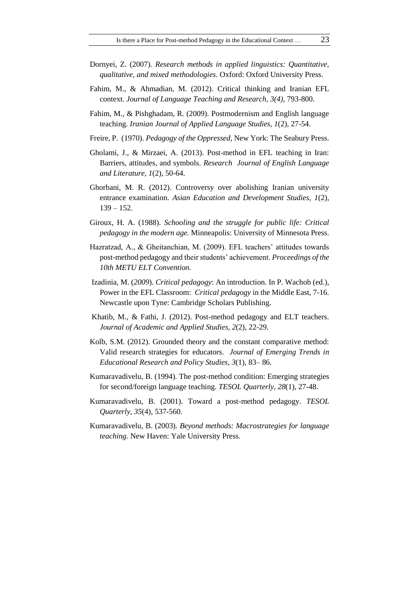- Dornyei, Z. (2007). *Research methods in applied linguistics: Quantitative, qualitative, and mixed methodologies*. Oxford: Oxford University Press.
- Fahim, M., & Ahmadian, M. (2012). Critical thinking and Iranian EFL context*. Journal of Language Teaching and Research*, *3(4),* 793-800.
- Fahim, M., & Pishghadam, R. (2009). Postmodernism and English language teaching. *Iranian Journal of Applied Language Studies, 1*(2), 27-54.
- Freire, P. (1970). *Pedagogy of the Oppressed*, New York: The Seabury Press.
- Gholami, J., & Mirzaei, A. (2013). Post-method in EFL teaching in Iran: Barriers, attitudes, and symbols. *Research Journal of English Language and Literature, 1*(2), 50-64.
- Ghorbani, M. R. (2012). Controversy over abolishing Iranian university entrance examination. *Asian Education and Development Studies, 1*(2), 139 – 152.
- Giroux, H. A. (1988). *Schooling and the struggle for public life: Critical pedagogy in the modern age.* Minneapolis: University of Minnesota Press.
- Hazratzad, A., & Gheitanchian, M. (2009). EFL teachers' attitudes towards post-method pedagogy and their students' achievement. *Proceedings of the 10th METU ELT Convention.*
- Izadinia, M. (*2009*). *Critical pedagogy*: An introduction. In P. Wachob (ed.), Power in the EFL Classroom: *Critical pedagogy* in the Middle East, 7-16. Newcastle upon Tyne: Cambridge Scholars Publishing.
- Khatib, M., & Fathi, J. (2012). Post-method pedagogy and ELT teachers. *Journal of Academic and Applied Studies, 2*(2), 22-29.
- Kolb, S.M. (2012). Grounded theory and the constant comparative method: Valid research strategies for educators. *Journal of Emerging Trends in Educational Research and Policy Studies, 3*(1), 83– 86.
- Kumaravadivelu, B. (1994). The post-method condition: Emerging strategies for second/foreign language teaching. *TESOL Quarterly, 28*(1), 27-48.
- Kumaravadivelu, B. (2001). Toward a post-method pedagogy. *TESOL Quarterly, 35*(4), 537-560.
- Kumaravadivelu, B. (2003). *Beyond methods: Macrostrategies for language teaching*. New Haven: Yale University Press.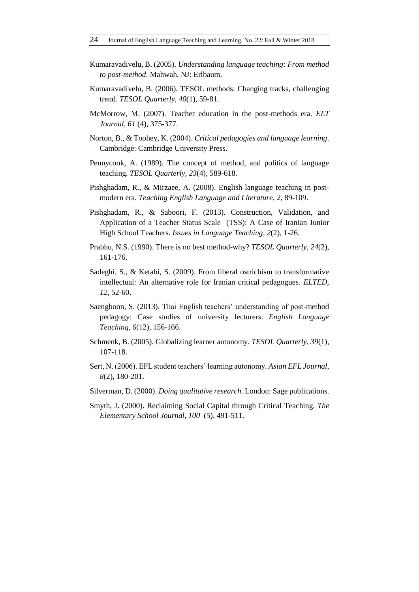- Kumaravadivelu, B. (2005). *Understanding language teaching: From method to post-method*. Mahwah, NJ: Erlbaum.
- Kumaravadivelu, B. (2006). TESOL methods: Changing tracks, challenging trend. *TESOL Quarterly, 40*(1), 59-81.
- McMorrow, M. (2007). Teacher education in the post-methods era. *ELT Journal, 61* (4), 375-377.
- Norton, B., & Toohey, K. (2004). *Critical pedagogies and language learning*. Cambridge: Cambridge University Press.
- Pennycook, A. (1989). The concept of method, and politics of language teaching. *TESOL Quarterly, 23*(4), 589-618.
- Pishghadam, R., & Mirzaee, A. (2008). English language teaching in postmodern era. *Teaching English Language and Literature, 2*, 89-109.
- Pishghadam, R., & Saboori, F. (2013). Construction, Validation, and Application of a Teacher Status Scale (TSS): A Case of Iranian Junior High School Teachers. *Issues in Language Teaching, 2*(2), 1-26.
- Prabhu, N.S. (1990). There is no best method-why? *TESOL Quarterly, 24*(2), 161-176.
- Sadeghi, S., & Ketabi, S. (2009). From liberal ostrichism to transformative intellectual: An alternative role for Iranian critical pedagogues. *ELTED, 12*, 52-60.
- Saengboon, S. (2013). Thai English teachers' understanding of post-method pedagogy: Case studies of university lecturers. *English Language Teaching, 6*(12), 156-166.
- Schmenk, B. (2005). Globalizing learner autonomy. *TESOL Quarterly, 39*(1), 107-118.
- Sert, N. (2006). EFL student teachers' learning autonomy. *Asian EFL Journal*, *8*(2), 180-201.
- Silverman, D. (2000). *Doing qualitative research*. London: Sage publications.
- Smyth, J. (2000). Reclaiming Social Capital through Critical Teaching. *The Elementary School Journal, 100* (5), 491-511.